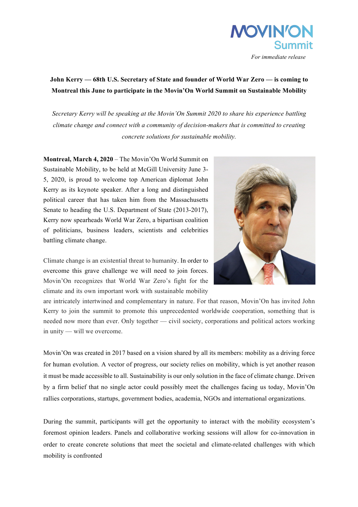

 *For immediate release*

## **John Kerry — 68th U.S. Secretary of State and founder of World War Zero — is coming to Montreal this June to participate in the Movin'On World Summit on Sustainable Mobility**

*Secretary Kerry will be speaking at the Movin'On Summit 2020 to share his experience battling climate change and connect with a community of decision-makers that is committed to creating concrete solutions for sustainable mobility.*

**Montreal, March 4, 2020** – The Movin'On World Summit on Sustainable Mobility, to be held at McGill University June 3- 5, 2020, is proud to welcome top American diplomat John Kerry as its keynote speaker. After a long and distinguished political career that has taken him from the Massachusetts Senate to heading the U.S. Department of State (2013-2017), Kerry now spearheads World War Zero, a bipartisan coalition of politicians, business leaders, scientists and celebrities battling climate change.



Climate change is an existential threat to humanity. In order to overcome this grave challenge we will need to join forces. Movin'On recognizes that World War Zero's fight for the climate and its own important work with sustainable mobility

are intricately intertwined and complementary in nature. For that reason, Movin'On has invited John Kerry to join the summit to promote this unprecedented worldwide cooperation, something that is needed now more than ever. Only together — civil society, corporations and political actors working in unity — will we overcome.

Movin'On was created in 2017 based on a vision shared by all its members: mobility as a driving force for human evolution. A vector of progress, our society relies on mobility, which is yet another reason it must be made accessible to all. Sustainability is our only solution in the face of climate change. Driven by a firm belief that no single actor could possibly meet the challenges facing us today, Movin'On rallies corporations, startups, government bodies, academia, NGOs and international organizations.

During the summit, participants will get the opportunity to interact with the mobility ecosystem's foremost opinion leaders. Panels and collaborative working sessions will allow for co-innovation in order to create concrete solutions that meet the societal and climate-related challenges with which mobility is confronted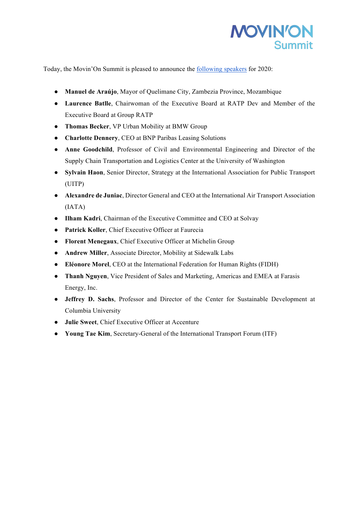

Today, the Movin'On Summit is pleased to announce the following speakers for 2020:

- **Manuel de Araújo**, Mayor of Quelimane City, Zambezia Province, Mozambique
- **Laurence Batlle**, Chairwoman of the Executive Board at RATP Dev and Member of the Executive Board at Group RATP
- **Thomas Becker**, VP Urban Mobility at BMW Group
- **Charlotte Dennery**, CEO at BNP Paribas Leasing Solutions
- **Anne Goodchild**, Professor of Civil and Environmental Engineering and Director of the Supply Chain Transportation and Logistics Center at the University of Washington
- **Sylvain Haon**, Senior Director, Strategy at the International Association for Public Transport (UITP)
- **Alexandre de Juniac**, Director General and CEO at the International Air Transport Association (IATA)
- **Ilham Kadri**, Chairman of the Executive Committee and CEO at Solvay
- **Patrick Koller**, Chief Executive Officer at Faurecia
- **Florent Menegaux**, Chief Executive Officer at Michelin Group
- **Andrew Miller**, Associate Director, Mobility at Sidewalk Labs
- **Eléonore Morel**, CEO at the International Federation for Human Rights (FIDH)
- **Thanh Nguyen**, Vice President of Sales and Marketing, Americas and EMEA at Farasis Energy, Inc.
- **Jeffrey D. Sachs**, Professor and Director of the Center for Sustainable Development at Columbia University
- **Julie Sweet**, Chief Executive Officer at Accenture
- **Young Tae Kim**, Secretary-General of the International Transport Forum (ITF)